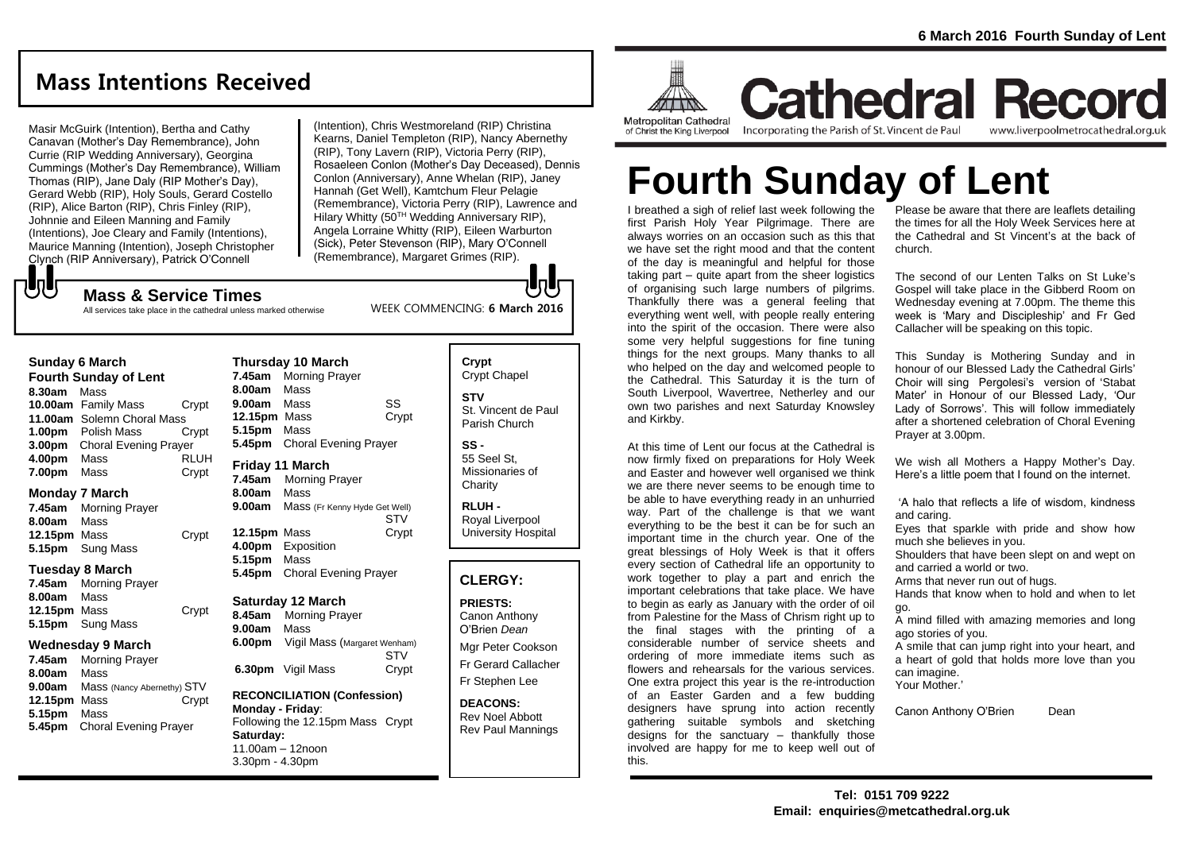# **Mass Intentions Received**

Masir McGuirk (Intention), Bertha and Cathy Canavan (Mother's Day Remembrance), John Currie (RIP Wedding Anniversary), Georgina Cummings (Mother's Day Remembrance), William Thomas (RIP), Jane Daly (RIP Mother's Day), Gerard Webb (RIP), Holy Souls, Gerard Costello (RIP), Alice Barton (RIP), Chris Finley (RIP), Johnnie and Eileen Manning and Family (Intentions), Joe Cleary and Family (Intentions), Maurice Manning (Intention), Joseph Christopher Clynch (RIP Anniversary), Patrick O'Connell

**Mass & Service Times**

All services take place in the cathedral unless marked otherwise

(Intention), Chris Westmoreland (RIP) Christina Kearns, Daniel Templeton (RIP), Nancy Abernethy (RIP), Tony Lavern (RIP), Victoria Perry (RIP), Rosaeleen Conlon (Mother's Day Deceased), Dennis Conlon (Anniversary), Anne Whelan (RIP), Janey Hannah (Get Well), Kamtchum Fleur Pelagie (Remembrance), Victoria Perry (RIP), Lawrence and Hilary Whitty (50<sup>TH</sup> Wedding Anniversary RIP). Angela Lorraine Whitty (RIP), Eileen Warburton (Sick), Peter Stevenson (RIP), Mary O'Connell (Remembrance), Margaret Grimes (RIP).

WEEK COMMENCING: **6 March 2016**

もし

| <b>Fourth Sunday of Lent</b> |                              |             |
|------------------------------|------------------------------|-------------|
| 8.30am                       | Mass                         |             |
|                              | 10.00am Family Mass          | Crypt       |
|                              | 11.00am Solemn Choral Mass   |             |
| 1.00 <sub>pm</sub>           | Polish Mass                  | Crypt       |
| 3.00 <sub>pm</sub>           | <b>Choral Evening Prayer</b> |             |
| 4.00pm                       | Mass                         | <b>RLUH</b> |
| 7.00pm                       | Mass                         | Crypt       |

### **Monday 7 March**

**7.45am** Morning Prayer **8.00am** Mass **12.15pm** Mass Crypt **5.15pm** Sung Mass

#### **Tuesday 8 March**

**7.45am** Morning Prayer **8.00am** Mass **12.15pm** Mass Crypt **5.15pm** Sung Mass

### **Wednesday 9 March**

**7.45am** Morning Prayer **8.00am** Mass **9.00am** Mass (Nancy Abernethy) STV **12.15pm** Mass Crypt **5.15pm** Mass **5.45pm** Choral Evening Prayer

**Thursday 10 March 7.45am** Morning Prayer **8.00am** Mass **9.00am** Mass SS **12.15pm** Mass Crypt **5.15pm** Mass **5.45pm** Choral Evening Prayer **Friday 11 March 7.45am** Morning Prayer **8.00am** Mass **9.00am** Mass (Fr Kenny Hyde Get Well) STV **12.15pm** Mass Crypt

### **4.00pm** Exposition **5.15pm** Mass **5.45pm** Choral Evening Prayer

### **Saturday 12 March**

**8.45am** Morning Prayer **9.00am** Mass **6.00pm** Vigil Mass (Margaret Wenham) **STV 6.30pm** Vigil Mass Crypt

### **RECONCILIATION (Confession) Monday - Friday**: Following the 12.15pm Mass Crypt **Saturday:** 11.00am – 12noon 3.30pm - 4.30pm

## **Crypt**  Crypt Chapel **STV** St. Vincent de Paul Parish Church

**SS -** 55 Seel St, Missionaries of **Charity** 

**RLUH -** Royal Liverpool University Hospital

### **CLERGY:**

**PRIESTS:** Canon Anthony O'Brien *Dean*

Mgr Peter Cookson Fr Gerard Callacher Fr Stephen Lee

**DEACONS:** Rev Noel Abbott Rev Paul Mannings



**Cathedral Record** Incorporating the Parish of St. Vincent de Paul www.liverpoolmetrocathedral.org.uk

**Fourth Sunday of Lent**

I breathed a sigh of relief last week following the first Parish Holy Year Pilgrimage. There are always worries on an occasion such as this that we have set the right mood and that the content of the day is meaningful and helpful for those taking part – quite apart from the sheer logistics of organising such large numbers of pilgrims. Thankfully there was a general feeling that everything went well, with people really entering into the spirit of the occasion. There were also some very helpful suggestions for fine tuning things for the next groups. Many thanks to all who helped on the day and welcomed people to the Cathedral. This Saturday it is the turn of South Liverpool, Wavertree, Netherley and our own two parishes and next Saturday Knowsley and Kirkby.

At this time of Lent our focus at the Cathedral is now firmly fixed on preparations for Holy Week and Easter and however well organised we think we are there never seems to be enough time to be able to have everything ready in an unhurried way. Part of the challenge is that we want everything to be the best it can be for such an important time in the church year. One of the great blessings of Holy Week is that it offers every section of Cathedral life an opportunity to work together to play a part and enrich the important celebrations that take place. We have to begin as early as January with the order of oil from Palestine for the Mass of Chrism right up to the final stages with the printing of a considerable number of service sheets and ordering of more immediate items such as flowers and rehearsals for the various services. One extra project this year is the re-introduction of an Easter Garden and a few budding designers have sprung into action recently gathering suitable symbols and sketching designs for the sanctuary – thankfully those involved are happy for me to keep well out of this.

Please be aware that there are leaflets detailing the times for all the Holy Week Services here at the Cathedral and St Vincent's at the back of church.

The second of our Lenten Talks on St Luke's Gospel will take place in the Gibberd Room on Wednesday evening at 7.00pm. The theme this week is 'Mary and Discipleship' and Fr Ged Callacher will be speaking on this topic.

This Sunday is Mothering Sunday and in honour of our Blessed Lady the Cathedral Girls' Choir will sing Pergolesi's version of 'Stabat Mater' in Honour of our Blessed Lady, 'Our Lady of Sorrows'. This will follow immediately after a shortened celebration of Choral Evening Prayer at 3.00pm.

We wish all Mothers a Happy Mother's Day. Here's a little poem that I found on the internet.

'A halo that reflects a life of wisdom, kindness and caring.

Eyes that sparkle with pride and show how much she believes in you.

Shoulders that have been slept on and wept on and carried a world or two.

Arms that never run out of hugs.

Hands that know when to hold and when to let go.

A mind filled with amazing memories and long ago stories of you.

A smile that can jump right into your heart, and a heart of gold that holds more love than you can imagine. Your Mother.'

Canon Anthony O'Brien Dean